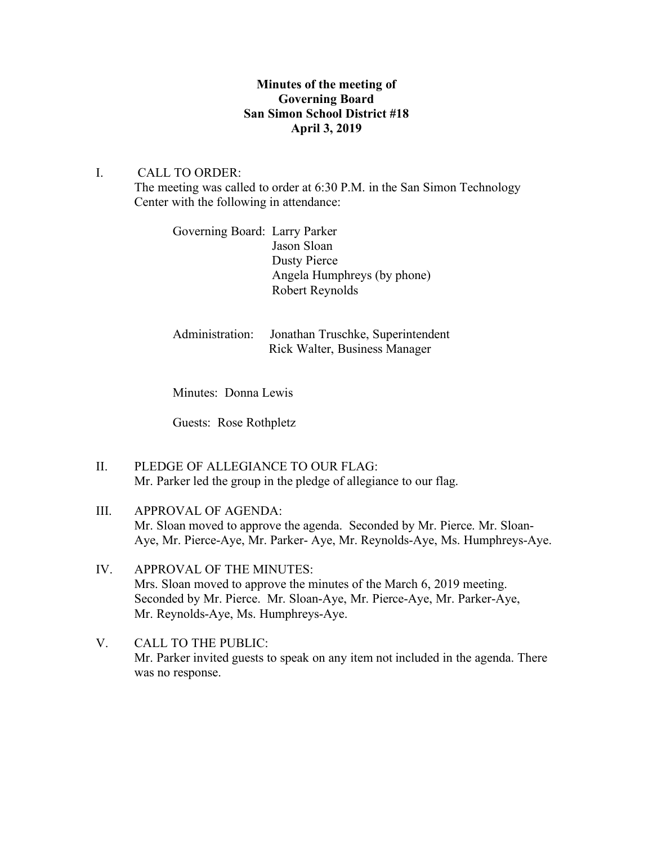## **Minutes of the meeting of Governing Board San Simon School District #18 April 3, 2019**

## I. CALL TO ORDER:

The meeting was called to order at 6:30 P.M. in the San Simon Technology Center with the following in attendance:

Governing Board: Larry Parker Jason Sloan Dusty Pierce Angela Humphreys (by phone) Robert Reynolds

Administration: Jonathan Truschke, Superintendent Rick Walter, Business Manager

Minutes: Donna Lewis

Guests: Rose Rothpletz

II. PLEDGE OF ALLEGIANCE TO OUR FLAG: Mr. Parker led the group in the pledge of allegiance to our flag.

# III. APPROVAL OF AGENDA: Mr. Sloan moved to approve the agenda. Seconded by Mr. Pierce. Mr. Sloan-Aye, Mr. Pierce-Aye, Mr. Parker- Aye, Mr. Reynolds-Aye, Ms. Humphreys-Aye.

- IV. APPROVAL OF THE MINUTES: Mrs. Sloan moved to approve the minutes of the March 6, 2019 meeting. Seconded by Mr. Pierce. Mr. Sloan-Aye, Mr. Pierce-Aye, Mr. Parker-Aye, Mr. Reynolds-Aye, Ms. Humphreys-Aye.
- V. CALL TO THE PUBLIC: Mr. Parker invited guests to speak on any item not included in the agenda. There was no response.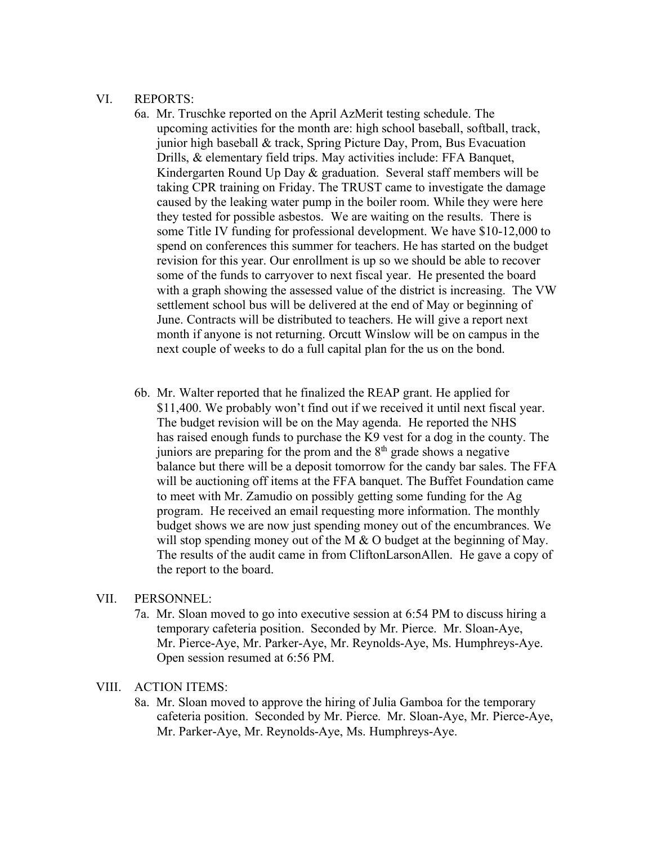#### VI. REPORTS:

- 6a. Mr. Truschke reported on the April AzMerit testing schedule. The upcoming activities for the month are: high school baseball, softball, track, junior high baseball & track, Spring Picture Day, Prom, Bus Evacuation Drills, & elementary field trips. May activities include: FFA Banquet, Kindergarten Round Up Day & graduation. Several staff members will be taking CPR training on Friday. The TRUST came to investigate the damage caused by the leaking water pump in the boiler room. While they were here they tested for possible asbestos. We are waiting on the results. There is some Title IV funding for professional development. We have \$10-12,000 to spend on conferences this summer for teachers. He has started on the budget revision for this year. Our enrollment is up so we should be able to recover some of the funds to carryover to next fiscal year. He presented the board with a graph showing the assessed value of the district is increasing. The VW settlement school bus will be delivered at the end of May or beginning of June. Contracts will be distributed to teachers. He will give a report next month if anyone is not returning. Orcutt Winslow will be on campus in the next couple of weeks to do a full capital plan for the us on the bond.
- 6b. Mr. Walter reported that he finalized the REAP grant. He applied for \$11,400. We probably won't find out if we received it until next fiscal year. The budget revision will be on the May agenda. He reported the NHS has raised enough funds to purchase the K9 vest for a dog in the county. The juniors are preparing for the prom and the  $8<sup>th</sup>$  grade shows a negative balance but there will be a deposit tomorrow for the candy bar sales. The FFA will be auctioning off items at the FFA banquet. The Buffet Foundation came to meet with Mr. Zamudio on possibly getting some funding for the Ag program. He received an email requesting more information. The monthly budget shows we are now just spending money out of the encumbrances. We will stop spending money out of the M  $\&$  O budget at the beginning of May. The results of the audit came in from CliftonLarsonAllen. He gave a copy of the report to the board.

### VII. PERSONNEL:

7a. Mr. Sloan moved to go into executive session at 6:54 PM to discuss hiring a temporary cafeteria position. Seconded by Mr. Pierce. Mr. Sloan-Aye, Mr. Pierce-Aye, Mr. Parker-Aye, Mr. Reynolds-Aye, Ms. Humphreys-Aye. Open session resumed at 6:56 PM.

#### VIII. ACTION ITEMS:

8a. Mr. Sloan moved to approve the hiring of Julia Gamboa for the temporary cafeteria position. Seconded by Mr. Pierce. Mr. Sloan-Aye, Mr. Pierce-Aye, Mr. Parker-Aye, Mr. Reynolds-Aye, Ms. Humphreys-Aye.